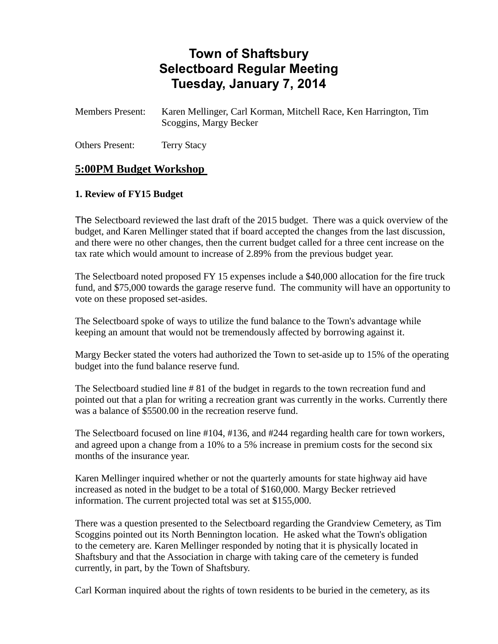# **Town of Shaftsbury Selectboard Regular Meeting Tuesday, January 7, 2014**

Members Present: Karen Mellinger, Carl Korman, Mitchell Race, Ken Harrington, Tim Scoggins, Margy Becker

Others Present: Terry Stacy

## **5:00PM Budget Workshop**

#### **1. Review of FY15 Budget**

The Selectboard reviewed the last draft of the 2015 budget. There was a quick overview of the budget, and Karen Mellinger stated that if board accepted the changes from the last discussion, and there were no other changes, then the current budget called for a three cent increase on the tax rate which would amount to increase of 2.89% from the previous budget year.

The Selectboard noted proposed FY 15 expenses include a \$40,000 allocation for the fire truck fund, and \$75,000 towards the garage reserve fund. The community will have an opportunity to vote on these proposed set-asides.

The Selectboard spoke of ways to utilize the fund balance to the Town's advantage while keeping an amount that would not be tremendously affected by borrowing against it.

Margy Becker stated the voters had authorized the Town to set-aside up to 15% of the operating budget into the fund balance reserve fund.

The Selectboard studied line # 81 of the budget in regards to the town recreation fund and pointed out that a plan for writing a recreation grant was currently in the works. Currently there was a balance of \$5500.00 in the recreation reserve fund.

The Selectboard focused on line #104, #136, and #244 regarding health care for town workers, and agreed upon a change from a 10% to a 5% increase in premium costs for the second six months of the insurance year.

Karen Mellinger inquired whether or not the quarterly amounts for state highway aid have increased as noted in the budget to be a total of \$160,000. Margy Becker retrieved information. The current projected total was set at \$155,000.

There was a question presented to the Selectboard regarding the Grandview Cemetery, as Tim Scoggins pointed out its North Bennington location. He asked what the Town's obligation to the cemetery are. Karen Mellinger responded by noting that it is physically located in Shaftsbury and that the Association in charge with taking care of the cemetery is funded currently, in part, by the Town of Shaftsbury.

Carl Korman inquired about the rights of town residents to be buried in the cemetery, as its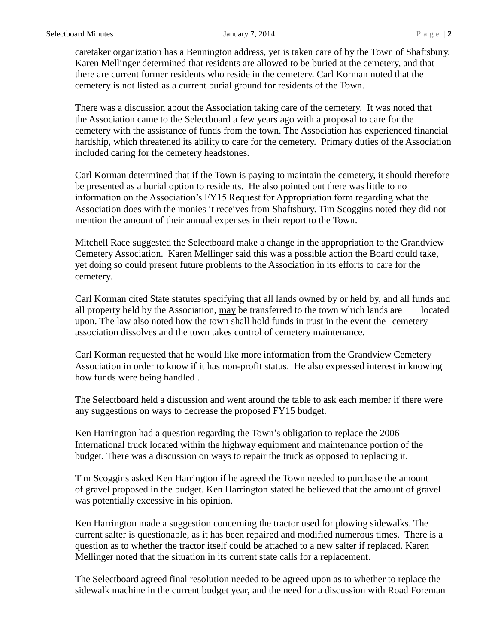caretaker organization has a Bennington address, yet is taken care of by the Town of Shaftsbury. Karen Mellinger determined that residents are allowed to be buried at the cemetery, and that there are current former residents who reside in the cemetery. Carl Korman noted that the cemetery is not listed as a current burial ground for residents of the Town.

There was a discussion about the Association taking care of the cemetery. It was noted that the Association came to the Selectboard a few years ago with a proposal to care for the cemetery with the assistance of funds from the town. The Association has experienced financial hardship, which threatened its ability to care for the cemetery. Primary duties of the Association included caring for the cemetery headstones.

Carl Korman determined that if the Town is paying to maintain the cemetery, it should therefore be presented as a burial option to residents. He also pointed out there was little to no information on the Association's FY15 Request for Appropriation form regarding what the Association does with the monies it receives from Shaftsbury. Tim Scoggins noted they did not mention the amount of their annual expenses in their report to the Town.

Mitchell Race suggested the Selectboard make a change in the appropriation to the Grandview Cemetery Association. Karen Mellinger said this was a possible action the Board could take, yet doing so could present future problems to the Association in its efforts to care for the cemetery.

Carl Korman cited State statutes specifying that all lands owned by or held by, and all funds and all property held by the Association, may be transferred to the town which lands are located upon. The law also noted how the town shall hold funds in trust in the event the cemetery association dissolves and the town takes control of cemetery maintenance.

Carl Korman requested that he would like more information from the Grandview Cemetery Association in order to know if it has non-profit status. He also expressed interest in knowing how funds were being handled .

The Selectboard held a discussion and went around the table to ask each member if there were any suggestions on ways to decrease the proposed FY15 budget.

Ken Harrington had a question regarding the Town's obligation to replace the 2006 International truck located within the highway equipment and maintenance portion of the budget. There was a discussion on ways to repair the truck as opposed to replacing it.

Tim Scoggins asked Ken Harrington if he agreed the Town needed to purchase the amount of gravel proposed in the budget. Ken Harrington stated he believed that the amount of gravel was potentially excessive in his opinion.

Ken Harrington made a suggestion concerning the tractor used for plowing sidewalks. The current salter is questionable, as it has been repaired and modified numerous times. There is a question as to whether the tractor itself could be attached to a new salter if replaced. Karen Mellinger noted that the situation in its current state calls for a replacement.

The Selectboard agreed final resolution needed to be agreed upon as to whether to replace the sidewalk machine in the current budget year, and the need for a discussion with Road Foreman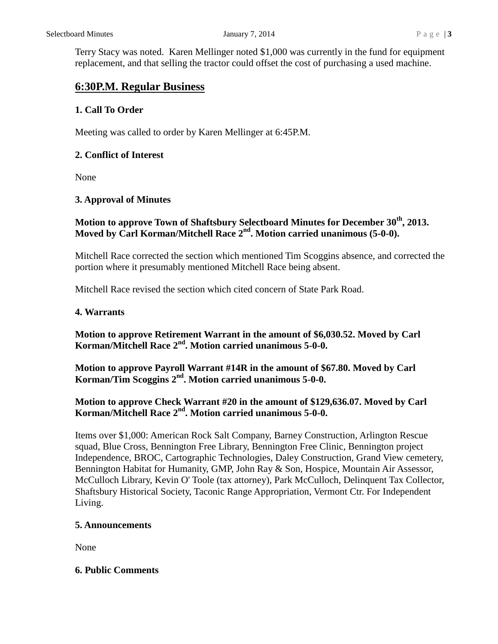Terry Stacy was noted. Karen Mellinger noted \$1,000 was currently in the fund for equipment replacement, and that selling the tractor could offset the cost of purchasing a used machine.

## **6:30P.M. Regular Business**

## **1. Call To Order**

Meeting was called to order by Karen Mellinger at 6:45P.M.

#### **2. Conflict of Interest**

None

## **3. Approval of Minutes**

## **Motion to approve Town of Shaftsbury Selectboard Minutes for December 30 th, 2013. Moved by Carl Korman/Mitchell Race 2nd. Motion carried unanimous (5-0-0).**

Mitchell Race corrected the section which mentioned Tim Scoggins absence, and corrected the portion where it presumably mentioned Mitchell Race being absent.

Mitchell Race revised the section which cited concern of State Park Road.

#### **4. Warrants**

**Motion to approve Retirement Warrant in the amount of \$6,030.52. Moved by Carl Korman/Mitchell Race 2nd. Motion carried unanimous 5-0-0.**

**Motion to approve Payroll Warrant #14R in the amount of \$67.80. Moved by Carl Korman/Tim Scoggins 2nd. Motion carried unanimous 5-0-0.**

#### **Motion to approve Check Warrant #20 in the amount of \$129,636.07. Moved by Carl Korman/Mitchell Race 2nd. Motion carried unanimous 5-0-0.**

Items over \$1,000: American Rock Salt Company, Barney Construction, Arlington Rescue squad, Blue Cross, Bennington Free Library, Bennington Free Clinic, Bennington project Independence, BROC, Cartographic Technologies, Daley Construction, Grand View cemetery, Bennington Habitat for Humanity, GMP, John Ray & Son, Hospice, Mountain Air Assessor, McCulloch Library, Kevin O' Toole (tax attorney), Park McCulloch, Delinquent Tax Collector, Shaftsbury Historical Society, Taconic Range Appropriation, Vermont Ctr. For Independent Living.

#### **5. Announcements**

None

#### **6. Public Comments**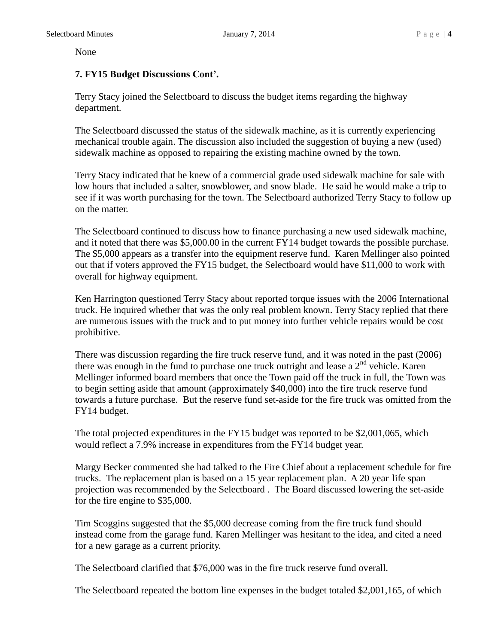None

#### **7. FY15 Budget Discussions Cont'.**

Terry Stacy joined the Selectboard to discuss the budget items regarding the highway department.

The Selectboard discussed the status of the sidewalk machine, as it is currently experiencing mechanical trouble again. The discussion also included the suggestion of buying a new (used) sidewalk machine as opposed to repairing the existing machine owned by the town.

Terry Stacy indicated that he knew of a commercial grade used sidewalk machine for sale with low hours that included a salter, snowblower, and snow blade. He said he would make a trip to see if it was worth purchasing for the town. The Selectboard authorized Terry Stacy to follow up on the matter.

The Selectboard continued to discuss how to finance purchasing a new used sidewalk machine, and it noted that there was \$5,000.00 in the current FY14 budget towards the possible purchase. The \$5,000 appears as a transfer into the equipment reserve fund. Karen Mellinger also pointed out that if voters approved the FY15 budget, the Selectboard would have \$11,000 to work with overall for highway equipment.

Ken Harrington questioned Terry Stacy about reported torque issues with the 2006 International truck. He inquired whether that was the only real problem known. Terry Stacy replied that there are numerous issues with the truck and to put money into further vehicle repairs would be cost prohibitive.

There was discussion regarding the fire truck reserve fund, and it was noted in the past (2006) there was enough in the fund to purchase one truck outright and lease a  $2<sup>nd</sup>$  vehicle. Karen Mellinger informed board members that once the Town paid off the truck in full, the Town was to begin setting aside that amount (approximately \$40,000) into the fire truck reserve fund towards a future purchase. But the reserve fund set-aside for the fire truck was omitted from the FY14 budget.

The total projected expenditures in the FY15 budget was reported to be \$2,001,065, which would reflect a 7.9% increase in expenditures from the FY14 budget year.

Margy Becker commented she had talked to the Fire Chief about a replacement schedule for fire trucks. The replacement plan is based on a 15 year replacement plan. A 20 year life span projection was recommended by the Selectboard . The Board discussed lowering the set-aside for the fire engine to \$35,000.

Tim Scoggins suggested that the \$5,000 decrease coming from the fire truck fund should instead come from the garage fund. Karen Mellinger was hesitant to the idea, and cited a need for a new garage as a current priority.

The Selectboard clarified that \$76,000 was in the fire truck reserve fund overall.

The Selectboard repeated the bottom line expenses in the budget totaled \$2,001,165, of which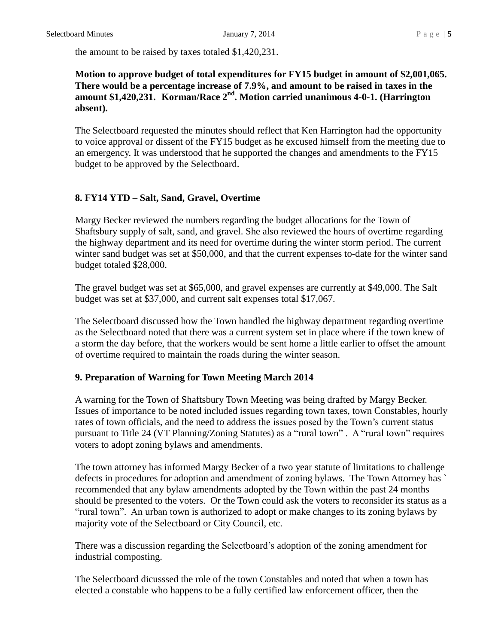the amount to be raised by taxes totaled \$1,420,231.

#### **Motion to approve budget of total expenditures for FY15 budget in amount of \$2,001,065. There would be a percentage increase of 7.9%, and amount to be raised in taxes in the amount \$1,420,231. Korman/Race 2nd. Motion carried unanimous 4-0-1. (Harrington absent).**

The Selectboard requested the minutes should reflect that Ken Harrington had the opportunity to voice approval or dissent of the FY15 budget as he excused himself from the meeting due to an emergency. It was understood that he supported the changes and amendments to the FY15 budget to be approved by the Selectboard.

#### **8. FY14 YTD – Salt, Sand, Gravel, Overtime**

Margy Becker reviewed the numbers regarding the budget allocations for the Town of Shaftsbury supply of salt, sand, and gravel. She also reviewed the hours of overtime regarding the highway department and its need for overtime during the winter storm period. The current winter sand budget was set at \$50,000, and that the current expenses to-date for the winter sand budget totaled \$28,000.

The gravel budget was set at \$65,000, and gravel expenses are currently at \$49,000. The Salt budget was set at \$37,000, and current salt expenses total \$17,067.

The Selectboard discussed how the Town handled the highway department regarding overtime as the Selectboard noted that there was a current system set in place where if the town knew of a storm the day before, that the workers would be sent home a little earlier to offset the amount of overtime required to maintain the roads during the winter season.

#### **9. Preparation of Warning for Town Meeting March 2014**

A warning for the Town of Shaftsbury Town Meeting was being drafted by Margy Becker. Issues of importance to be noted included issues regarding town taxes, town Constables, hourly rates of town officials, and the need to address the issues posed by the Town's current status pursuant to Title 24 (VT Planning/Zoning Statutes) as a "rural town" . A "rural town" requires voters to adopt zoning bylaws and amendments.

The town attorney has informed Margy Becker of a two year statute of limitations to challenge defects in procedures for adoption and amendment of zoning bylaws. The Town Attorney has ` recommended that any bylaw amendments adopted by the Town within the past 24 months should be presented to the voters. Or the Town could ask the voters to reconsider its status as a "rural town". An urban town is authorized to adopt or make changes to its zoning bylaws by majority vote of the Selectboard or City Council, etc.

There was a discussion regarding the Selectboard's adoption of the zoning amendment for industrial composting.

The Selectboard dicusssed the role of the town Constables and noted that when a town has elected a constable who happens to be a fully certified law enforcement officer, then the